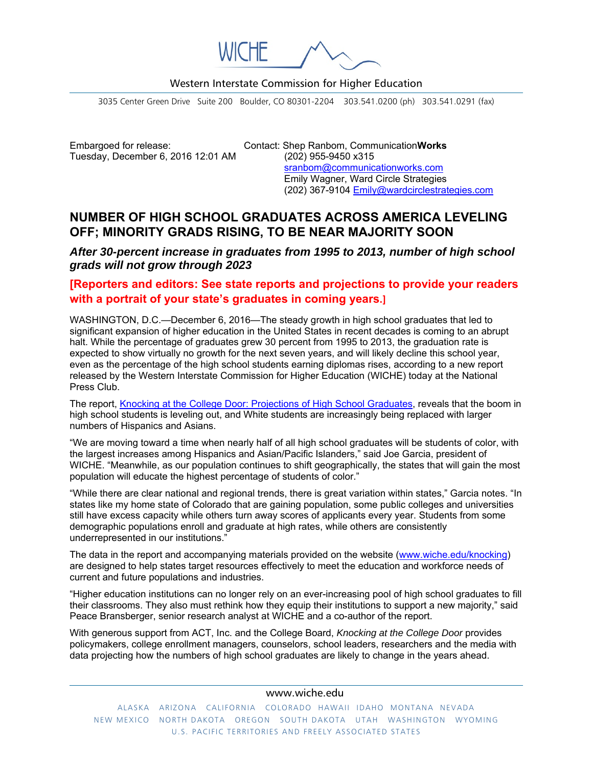

### Western Interstate Commission for Higher Education

3035 Center Green Drive Suite 200 Boulder, CO 80301-2204 303.541.0200 (ph) 303.541.0291 (fax)

Tuesday, December 6, 2016 12:01 AM

Embargoed for release: Contact: Shep Ranbom, Communication**Works**  sranbom@communicationworks.com Emily Wagner, Ward Circle Strategies (202) 367-9104 Emily@wardcirclestrategies.com

# **NUMBER OF HIGH SCHOOL GRADUATES ACROSS AMERICA LEVELING OFF; MINORITY GRADS RISING, TO BE NEAR MAJORITY SOON**

*After 30-percent increase in graduates from 1995 to 2013, number of high school grads will not grow through 2023* 

## **[Reporters and editors: See state reports and projections to provide your readers with a portrait of your state's graduates in coming years.]**

WASHINGTON, D.C.—December 6, 2016—The steady growth in high school graduates that led to significant expansion of higher education in the United States in recent decades is coming to an abrupt halt. While the percentage of graduates grew 30 percent from 1995 to 2013, the graduation rate is expected to show virtually no growth for the next seven years, and will likely decline this school year, even as the percentage of the high school students earning diplomas rises, according to a new report released by the Western Interstate Commission for Higher Education (WICHE) today at the National Press Club.

The report, Knocking at the College Door: Projections of High School Graduates, reveals that the boom in high school students is leveling out, and White students are increasingly being replaced with larger numbers of Hispanics and Asians.

"We are moving toward a time when nearly half of all high school graduates will be students of color, with the largest increases among Hispanics and Asian/Pacific Islanders," said Joe Garcia, president of WICHE. "Meanwhile, as our population continues to shift geographically, the states that will gain the most population will educate the highest percentage of students of color."

"While there are clear national and regional trends, there is great variation within states," Garcia notes. "In states like my home state of Colorado that are gaining population, some public colleges and universities still have excess capacity while others turn away scores of applicants every year. Students from some demographic populations enroll and graduate at high rates, while others are consistently underrepresented in our institutions."

The data in the report and accompanying materials provided on the website (www.wiche.edu/knocking) are designed to help states target resources effectively to meet the education and workforce needs of current and future populations and industries.

"Higher education institutions can no longer rely on an ever-increasing pool of high school graduates to fill their classrooms. They also must rethink how they equip their institutions to support a new majority," said Peace Bransberger, senior research analyst at WICHE and a co-author of the report.

With generous support from ACT, Inc. and the College Board, *Knocking at the College Door* provides policymakers, college enrollment managers, counselors, school leaders, researchers and the media with data projecting how the numbers of high school graduates are likely to change in the years ahead.

### www.wiche.edu

ALASKA ARIZONA CALIFORNIA COLORADO HAWAII IDAHO MONTANA NEVADA NEW MEXICO NORTH DAKOTA OREGON SOUTH DAKOTA UTAH WASHINGTON WYOMING U.S. PACIFIC TERRITORIES AND FREELY ASSOCIATED STATES